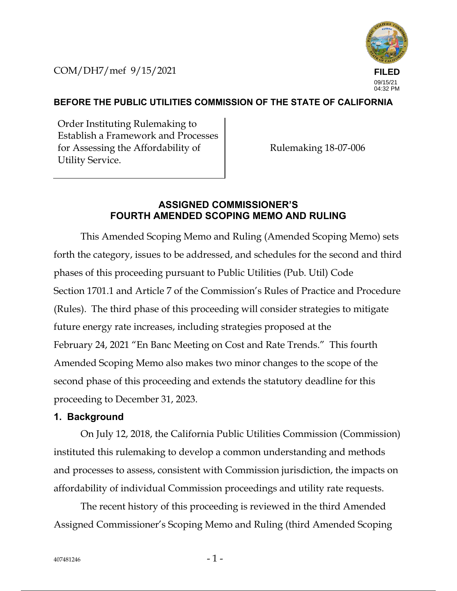COM/DH7/mef 9/15/2021



### **BEFORE THE PUBLIC UTILITIES COMMISSION OF THE STATE OF CALIFORNIA**

Order Instituting Rulemaking to Establish a Framework and Processes for Assessing the Affordability of Utility Service.

Rulemaking 18-07-006

### **ASSIGNED COMMISSIONER'S FOURTH AMENDED SCOPING MEMO AND RULING**

This Amended Scoping Memo and Ruling (Amended Scoping Memo) sets forth the category, issues to be addressed, and schedules for the second and third phases of this proceeding pursuant to Public Utilities (Pub. Util) Code Section 1701.1 and Article 7 of the Commission's Rules of Practice and Procedure (Rules). The third phase of this proceeding will consider strategies to mitigate future energy rate increases, including strategies proposed at the February 24, 2021 "En Banc Meeting on Cost and Rate Trends." This fourth Amended Scoping Memo also makes two minor changes to the scope of the second phase of this proceeding and extends the statutory deadline for this proceeding to December 31, 2023.

### **1. Background**

On July 12, 2018, the California Public Utilities Commission (Commission) instituted this rulemaking to develop a common understanding and methods and processes to assess, consistent with Commission jurisdiction, the impacts on affordability of individual Commission proceedings and utility rate requests.

The recent history of this proceeding is reviewed in the third Amended Assigned Commissioner's Scoping Memo and Ruling (third Amended Scoping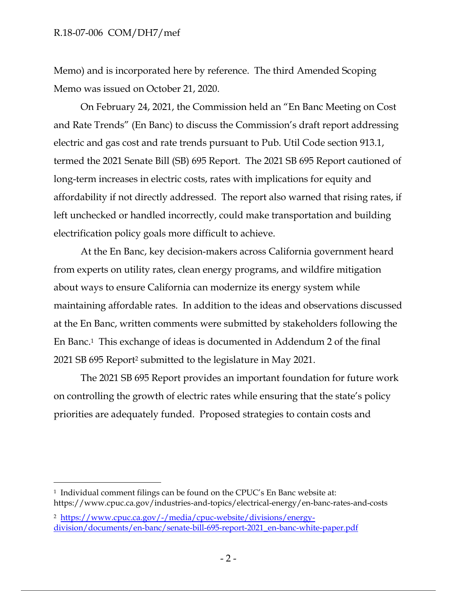#### R.18-07-006 COM/DH7/mef

Memo) and is incorporated here by reference. The third Amended Scoping Memo was issued on October 21, 2020.

On February 24, 2021, the Commission held an "En Banc Meeting on Cost and Rate Trends" (En Banc) to discuss the Commission's draft report addressing electric and gas cost and rate trends pursuant to Pub. Util Code section 913.1, termed the 2021 Senate Bill (SB) 695 Report. The 2021 SB 695 Report cautioned of long-term increases in electric costs, rates with implications for equity and affordability if not directly addressed. The report also warned that rising rates, if left unchecked or handled incorrectly, could make transportation and building electrification policy goals more difficult to achieve.

At the En Banc, key decision-makers across California government heard from experts on utility rates, clean energy programs, and wildfire mitigation about ways to ensure California can modernize its energy system while maintaining affordable rates. In addition to the ideas and observations discussed at the En Banc, written comments were submitted by stakeholders following the En Banc. 1 This exchange of ideas is documented in Addendum 2 of the final 2021 SB 695 Report<sup>2</sup> submitted to the legislature in May 2021.

The 2021 SB 695 Report provides an important foundation for future work on controlling the growth of electric rates while ensuring that the state's policy priorities are adequately funded. Proposed strategies to contain costs and

<sup>&</sup>lt;sup>1</sup> Individual comment filings can be found on the CPUC's En Banc website at: https://www.cpuc.ca.gov/industries-and-topics/electrical-energy/en-banc-rates-and-costs

<sup>2</sup> https://www.cpuc.ca.gov/-/media/cpuc-website/divisions/energydivision/documents/en-banc/senate-bill-695-report-2021\_en-banc-white-paper.pdf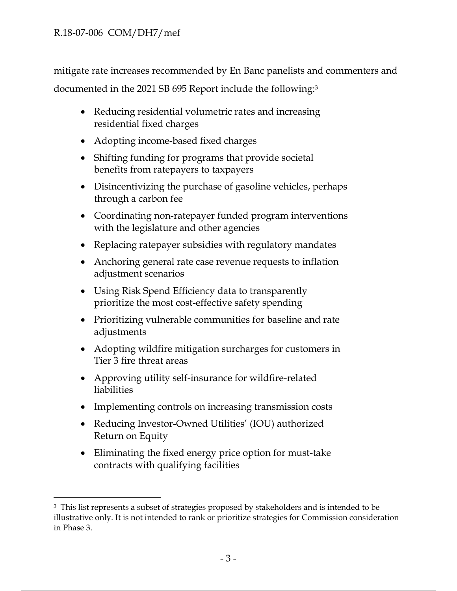mitigate rate increases recommended by En Banc panelists and commenters and documented in the 2021 SB 695 Report include the following:<sup>3</sup>

- Reducing residential volumetric rates and increasing residential fixed charges
- Adopting income-based fixed charges
- Shifting funding for programs that provide societal benefits from ratepayers to taxpayers
- Disincentivizing the purchase of gasoline vehicles, perhaps through a carbon fee
- Coordinating non-ratepayer funded program interventions with the legislature and other agencies
- Replacing ratepayer subsidies with regulatory mandates
- Anchoring general rate case revenue requests to inflation adjustment scenarios
- Using Risk Spend Efficiency data to transparently prioritize the most cost-effective safety spending
- Prioritizing vulnerable communities for baseline and rate adjustments
- Adopting wildfire mitigation surcharges for customers in Tier 3 fire threat areas
- Approving utility self-insurance for wildfire-related liabilities
- Implementing controls on increasing transmission costs
- Reducing Investor-Owned Utilities' (IOU) authorized Return on Equity
- Eliminating the fixed energy price option for must-take contracts with qualifying facilities

<sup>&</sup>lt;sup>3</sup> This list represents a subset of strategies proposed by stakeholders and is intended to be illustrative only. It is not intended to rank or prioritize strategies for Commission consideration in Phase 3.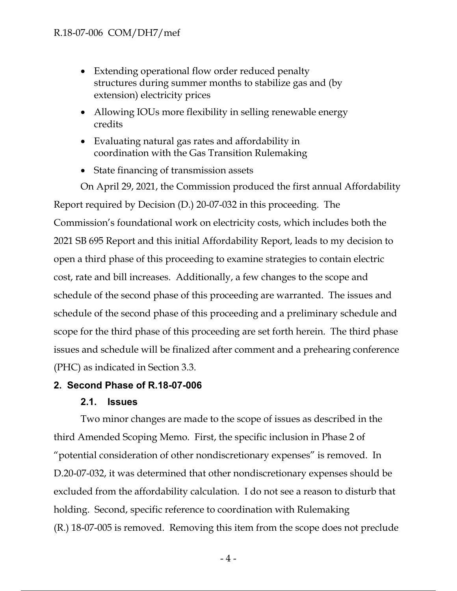- Extending operational flow order reduced penalty structures during summer months to stabilize gas and (by extension) electricity prices
- Allowing IOUs more flexibility in selling renewable energy credits
- Evaluating natural gas rates and affordability in coordination with the Gas Transition Rulemaking
- State financing of transmission assets

On April 29, 2021, the Commission produced the first annual Affordability Report required by Decision (D.) 20-07-032 in this proceeding. The Commission's foundational work on electricity costs, which includes both the 2021 SB 695 Report and this initial Affordability Report, leads to my decision to open a third phase of this proceeding to examine strategies to contain electric cost, rate and bill increases. Additionally, a few changes to the scope and schedule of the second phase of this proceeding are warranted. The issues and schedule of the second phase of this proceeding and a preliminary schedule and scope for the third phase of this proceeding are set forth herein. The third phase issues and schedule will be finalized after comment and a prehearing conference (PHC) as indicated in Section 3.3.

# **2. Second Phase of R.18-07-006**

## **2.1. Issues**

Two minor changes are made to the scope of issues as described in the third Amended Scoping Memo. First, the specific inclusion in Phase 2 of "potential consideration of other nondiscretionary expenses" is removed. In D.20-07-032, it was determined that other nondiscretionary expenses should be excluded from the affordability calculation. I do not see a reason to disturb that holding. Second, specific reference to coordination with Rulemaking (R.) 18-07-005 is removed. Removing this item from the scope does not preclude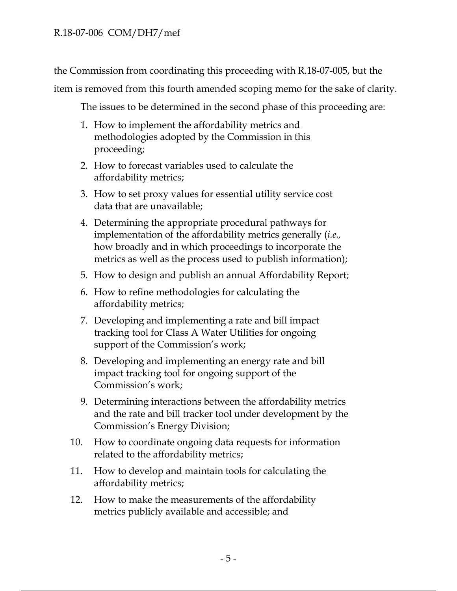the Commission from coordinating this proceeding with R.18-07-005, but the

item is removed from this fourth amended scoping memo for the sake of clarity.

The issues to be determined in the second phase of this proceeding are:

- 1. How to implement the affordability metrics and methodologies adopted by the Commission in this proceeding;
- 2. How to forecast variables used to calculate the affordability metrics;
- 3. How to set proxy values for essential utility service cost data that are unavailable;
- 4. Determining the appropriate procedural pathways for implementation of the affordability metrics generally (*i.e.,* how broadly and in which proceedings to incorporate the metrics as well as the process used to publish information);
- 5. How to design and publish an annual Affordability Report;
- 6. How to refine methodologies for calculating the affordability metrics;
- 7. Developing and implementing a rate and bill impact tracking tool for Class A Water Utilities for ongoing support of the Commission's work;
- 8. Developing and implementing an energy rate and bill impact tracking tool for ongoing support of the Commission's work;
- 9. Determining interactions between the affordability metrics and the rate and bill tracker tool under development by the Commission's Energy Division;
- 10. How to coordinate ongoing data requests for information related to the affordability metrics;
- 11. How to develop and maintain tools for calculating the affordability metrics;
- 12. How to make the measurements of the affordability metrics publicly available and accessible; and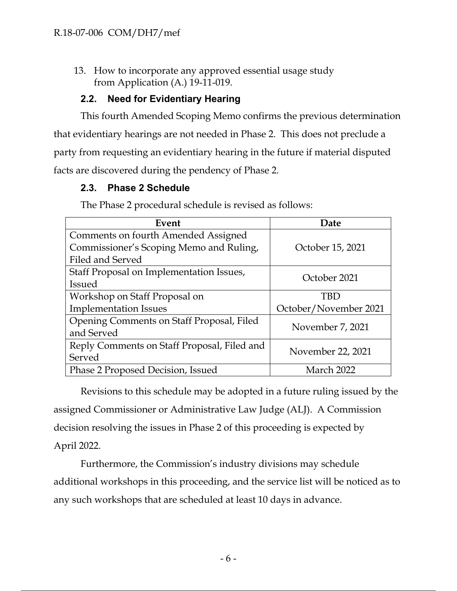13. How to incorporate any approved essential usage study from Application (A.) 19-11-019.

## **2.2. Need for Evidentiary Hearing**

This fourth Amended Scoping Memo confirms the previous determination that evidentiary hearings are not needed in Phase 2. This does not preclude a party from requesting an evidentiary hearing in the future if material disputed facts are discovered during the pendency of Phase 2.

## **2.3. Phase 2 Schedule**

| Event                                       | Date                  |  |
|---------------------------------------------|-----------------------|--|
| Comments on fourth Amended Assigned         |                       |  |
| Commissioner's Scoping Memo and Ruling,     | October 15, 2021      |  |
| Filed and Served                            |                       |  |
| Staff Proposal on Implementation Issues,    | October 2021          |  |
| <b>Issued</b>                               |                       |  |
| Workshop on Staff Proposal on               | TBD                   |  |
| <b>Implementation Issues</b>                | October/November 2021 |  |
| Opening Comments on Staff Proposal, Filed   | November 7, 2021      |  |
| and Served                                  |                       |  |
| Reply Comments on Staff Proposal, Filed and |                       |  |
| Served                                      | November 22, 2021     |  |
| Phase 2 Proposed Decision, Issued           | March 2022            |  |

The Phase 2 procedural schedule is revised as follows:

Revisions to this schedule may be adopted in a future ruling issued by the assigned Commissioner or Administrative Law Judge (ALJ). A Commission decision resolving the issues in Phase 2 of this proceeding is expected by April 2022.

Furthermore, the Commission's industry divisions may schedule additional workshops in this proceeding, and the service list will be noticed as to any such workshops that are scheduled at least 10 days in advance.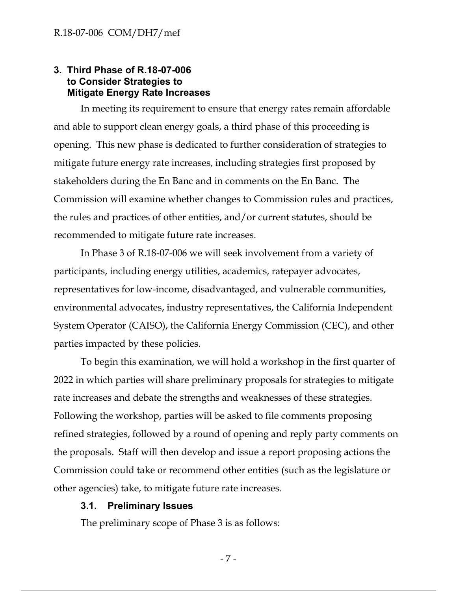### **3. Third Phase of R.18-07-006 to Consider Strategies to Mitigate Energy Rate Increases**

In meeting its requirement to ensure that energy rates remain affordable and able to support clean energy goals, a third phase of this proceeding is opening. This new phase is dedicated to further consideration of strategies to mitigate future energy rate increases, including strategies first proposed by stakeholders during the En Banc and in comments on the En Banc. The Commission will examine whether changes to Commission rules and practices, the rules and practices of other entities, and/or current statutes, should be recommended to mitigate future rate increases.

In Phase 3 of R.18-07-006 we will seek involvement from a variety of participants, including energy utilities, academics, ratepayer advocates, representatives for low-income, disadvantaged, and vulnerable communities, environmental advocates, industry representatives, the California Independent System Operator (CAISO), the California Energy Commission (CEC), and other parties impacted by these policies.

To begin this examination, we will hold a workshop in the first quarter of 2022 in which parties will share preliminary proposals for strategies to mitigate rate increases and debate the strengths and weaknesses of these strategies. Following the workshop, parties will be asked to file comments proposing refined strategies, followed by a round of opening and reply party comments on the proposals. Staff will then develop and issue a report proposing actions the Commission could take or recommend other entities (such as the legislature or other agencies) take, to mitigate future rate increases.

#### **3.1. Preliminary Issues**

The preliminary scope of Phase 3 is as follows:

- 7 -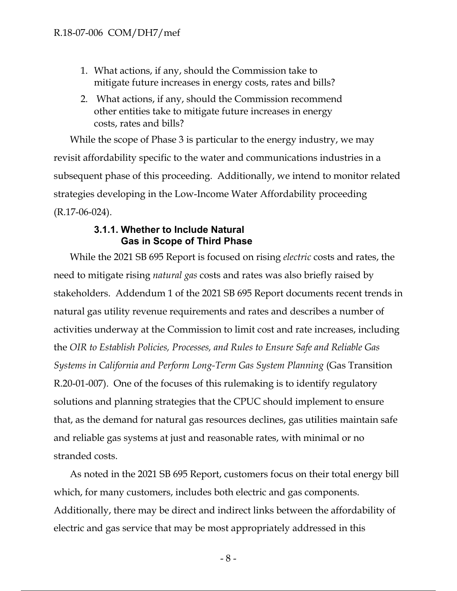- 1. What actions, if any, should the Commission take to mitigate future increases in energy costs, rates and bills?
- 2. What actions, if any, should the Commission recommend other entities take to mitigate future increases in energy costs, rates and bills?

While the scope of Phase 3 is particular to the energy industry, we may revisit affordability specific to the water and communications industries in a subsequent phase of this proceeding. Additionally, we intend to monitor related strategies developing in the Low-Income Water Affordability proceeding (R.17-06-024).

### **3.1.1. Whether to Include Natural Gas in Scope of Third Phase**

While the 2021 SB 695 Report is focused on rising *electric* costs and rates, the need to mitigate rising *natural gas* costs and rates was also briefly raised by stakeholders. Addendum 1 of the 2021 SB 695 Report documents recent trends in natural gas utility revenue requirements and rates and describes a number of activities underway at the Commission to limit cost and rate increases, including the *OIR to Establish Policies, Processes, and Rules to Ensure Safe and Reliable Gas Systems in California and Perform Long-Term Gas System Planning* (Gas Transition R.20-01-007). One of the focuses of this rulemaking is to identify regulatory solutions and planning strategies that the CPUC should implement to ensure that, as the demand for natural gas resources declines, gas utilities maintain safe and reliable gas systems at just and reasonable rates, with minimal or no stranded costs.

As noted in the 2021 SB 695 Report, customers focus on their total energy bill which, for many customers, includes both electric and gas components. Additionally, there may be direct and indirect links between the affordability of electric and gas service that may be most appropriately addressed in this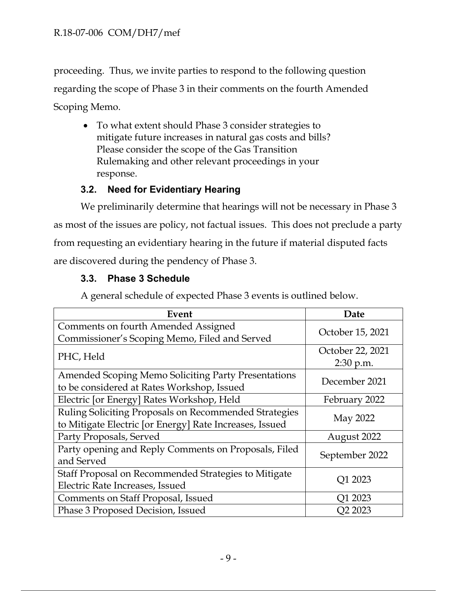proceeding. Thus, we invite parties to respond to the following question regarding the scope of Phase 3 in their comments on the fourth Amended Scoping Memo.

• To what extent should Phase 3 consider strategies to mitigate future increases in natural gas costs and bills? Please consider the scope of the Gas Transition Rulemaking and other relevant proceedings in your response.

# **3.2. Need for Evidentiary Hearing**

We preliminarily determine that hearings will not be necessary in Phase 3 as most of the issues are policy, not factual issues. This does not preclude a party from requesting an evidentiary hearing in the future if material disputed facts are discovered during the pendency of Phase 3.

# **3.3. Phase 3 Schedule**

A general schedule of expected Phase 3 events is outlined below.

| Event                                                                                                            | Date                          |
|------------------------------------------------------------------------------------------------------------------|-------------------------------|
| Comments on fourth Amended Assigned<br>Commissioner's Scoping Memo, Filed and Served                             | October 15, 2021              |
| PHC, Held                                                                                                        | October 22, 2021<br>2:30 p.m. |
| <b>Amended Scoping Memo Soliciting Party Presentations</b><br>to be considered at Rates Workshop, Issued         | December 2021                 |
| Electric [or Energy] Rates Workshop, Held                                                                        | February 2022                 |
| Ruling Soliciting Proposals on Recommended Strategies<br>to Mitigate Electric [or Energy] Rate Increases, Issued | May 2022                      |
| Party Proposals, Served                                                                                          | August 2022                   |
| Party opening and Reply Comments on Proposals, Filed<br>and Served                                               | September 2022                |
| Staff Proposal on Recommended Strategies to Mitigate<br>Electric Rate Increases, Issued                          | Q1 2023                       |
| Comments on Staff Proposal, Issued                                                                               | Q1 2023                       |
| Phase 3 Proposed Decision, Issued                                                                                | Q2 2023                       |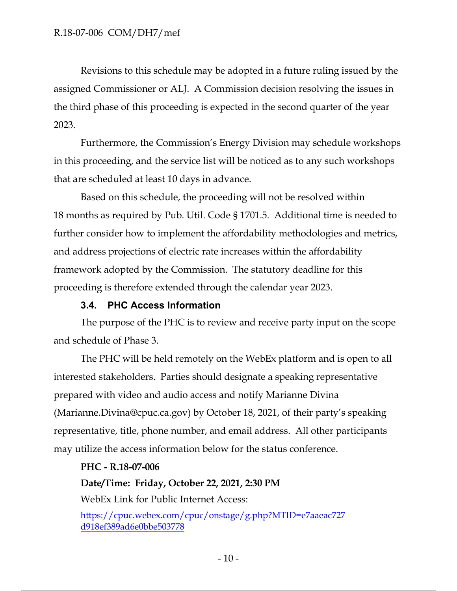Revisions to this schedule may be adopted in a future ruling issued by the assigned Commissioner or ALJ. A Commission decision resolving the issues in the third phase of this proceeding is expected in the second quarter of the year 2023.

Furthermore, the Commission's Energy Division may schedule workshops in this proceeding, and the service list will be noticed as to any such workshops that are scheduled at least 10 days in advance.

Based on this schedule, the proceeding will not be resolved within 18 months as required by Pub. Util. Code § 1701.5. Additional time is needed to further consider how to implement the affordability methodologies and metrics, and address projections of electric rate increases within the affordability framework adopted by the Commission. The statutory deadline for this proceeding is therefore extended through the calendar year 2023.

## **3.4. PHC Access Information**

The purpose of the PHC is to review and receive party input on the scope and schedule of Phase 3.

The PHC will be held remotely on the WebEx platform and is open to all interested stakeholders. Parties should designate a speaking representative prepared with video and audio access and notify Marianne Divina (Marianne.Divina@cpuc.ca.gov) by October 18, 2021, of their party's speaking representative, title, phone number, and email address. All other participants may utilize the access information below for the status conference.

## **PHC - R.18-07-006**

**Date/Time: Friday, October 22, 2021, 2:30 PM**

WebEx Link for Public Internet Access:

https://cpuc.webex.com/cpuc/onstage/g.php?MTID=e7aaeac727 d918ef389ad6e0bbe503778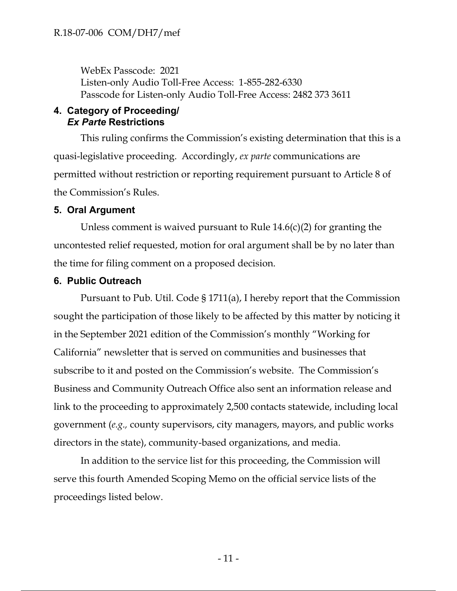WebEx Passcode: 2021 Listen-only Audio Toll-Free Access: 1-855-282-6330 Passcode for Listen-only Audio Toll-Free Access: 2482 373 3611

### **4. Category of Proceeding/** *Ex Parte* **Restrictions**

This ruling confirms the Commission's existing determination that this is a quasi-legislative proceeding. Accordingly, *ex parte* communications are permitted without restriction or reporting requirement pursuant to Article 8 of the Commission's Rules.

### **5. Oral Argument**

Unless comment is waived pursuant to Rule  $14.6(c)(2)$  for granting the uncontested relief requested, motion for oral argument shall be by no later than the time for filing comment on a proposed decision.

#### **6. Public Outreach**

Pursuant to Pub. Util. Code § 1711(a), I hereby report that the Commission sought the participation of those likely to be affected by this matter by noticing it in the September 2021 edition of the Commission's monthly "Working for California" newsletter that is served on communities and businesses that subscribe to it and posted on the Commission's website. The Commission's Business and Community Outreach Office also sent an information release and link to the proceeding to approximately 2,500 contacts statewide, including local government (*e.g.,* county supervisors, city managers, mayors, and public works directors in the state), community-based organizations, and media.

In addition to the service list for this proceeding, the Commission will serve this fourth Amended Scoping Memo on the official service lists of the proceedings listed below.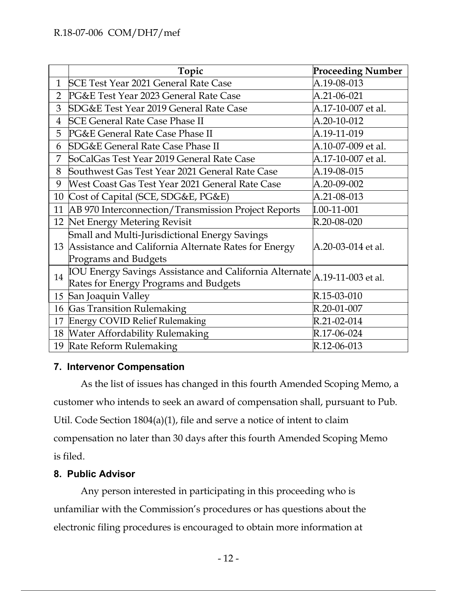|                | Topic                                                         | <b>Proceeding Number</b> |
|----------------|---------------------------------------------------------------|--------------------------|
| $\mathbf{1}$   | SCE Test Year 2021 General Rate Case                          | A.19-08-013              |
| $\overline{2}$ | PG&E Test Year 2023 General Rate Case                         | A.21-06-021              |
| 3              | <b>SDG&amp;E Test Year 2019 General Rate Case</b>             | A.17-10-007 et al.       |
| $\overline{4}$ | <b>SCE General Rate Case Phase II</b>                         | A.20-10-012              |
| 5              | PG&E General Rate Case Phase II                               | A.19-11-019              |
| 6              | <b>SDG&amp;E General Rate Case Phase II</b>                   | A.10-07-009 et al.       |
| 7              | SoCalGas Test Year 2019 General Rate Case                     | A.17-10-007 et al.       |
| 8              | Southwest Gas Test Year 2021 General Rate Case                | A.19-08-015              |
| 9              | West Coast Gas Test Year 2021 General Rate Case               | A.20-09-002              |
| 10             | Cost of Capital (SCE, SDG&E, PG&E)                            | A.21-08-013              |
|                | 11   AB 970 Interconnection/Transmission Project Reports      | $I.00-11-001$            |
|                | 12 Net Energy Metering Revisit                                | R.20-08-020              |
|                | Small and Multi-Jurisdictional Energy Savings                 |                          |
|                | 13 Assistance and California Alternate Rates for Energy       | A.20-03-014 et al.       |
|                | <b>Programs and Budgets</b>                                   |                          |
| 14             | <b>IOU Energy Savings Assistance and California Alternate</b> | A.19-11-003 et al.       |
|                | Rates for Energy Programs and Budgets                         |                          |
| 15             | San Joaquin Valley                                            | R.15-03-010              |
| 16             | <b>Gas Transition Rulemaking</b>                              | R.20-01-007              |
| 17             | <b>Energy COVID Relief Rulemaking</b>                         | R.21-02-014              |
|                | 18 Water Affordability Rulemaking                             | R.17-06-024              |
|                | 19 Rate Reform Rulemaking                                     | R.12-06-013              |

## **7. Intervenor Compensation**

As the list of issues has changed in this fourth Amended Scoping Memo, a customer who intends to seek an award of compensation shall, pursuant to Pub. Util. Code Section 1804(a)(1), file and serve a notice of intent to claim compensation no later than 30 days after this fourth Amended Scoping Memo is filed.

## **8. Public Advisor**

Any person interested in participating in this proceeding who is unfamiliar with the Commission's procedures or has questions about the electronic filing procedures is encouraged to obtain more information at